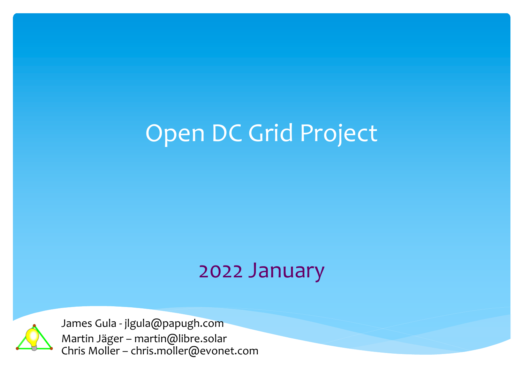## Open DC Grid Project

### 2022 January



James Gula - jlgula@papugh.com Martin Jäger – martin@libre.solar Chris Moller – chris.moller@evonet.com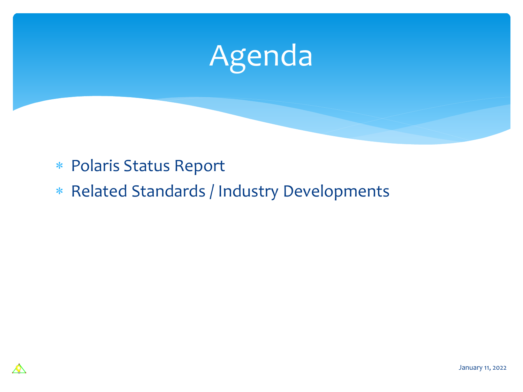

- \* Polaris Status Report
- \* Related Standards / Industry Developments

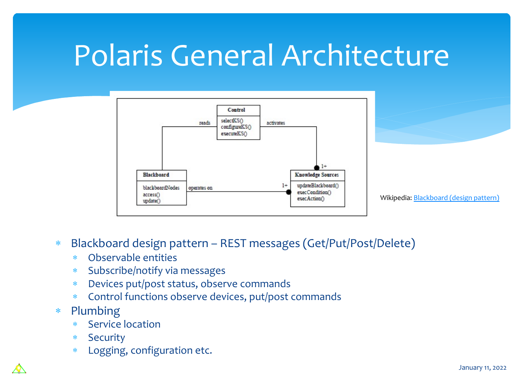# Polaris General Architecture



- \* Blackboard design pattern REST messages (Get/Put/Post/Delete)
	- \* Observable entities
	- \* Subscribe/notify via messages
	- \* Devices put/post status, observe commands
	- \* Control functions observe devices, put/post commands
- \* Plumbing
	- \* Service location
	- \* Security
	- \* Logging, configuration etc.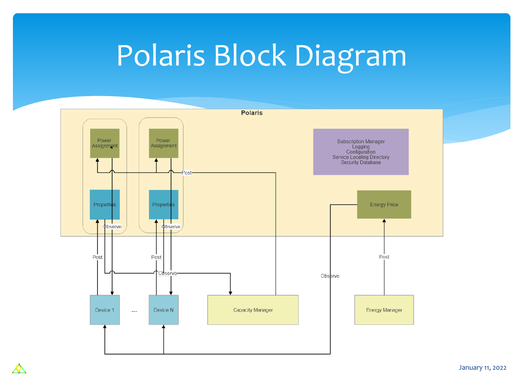# Polaris Block Diagram



 $\boldsymbol{\mathcal{A}}$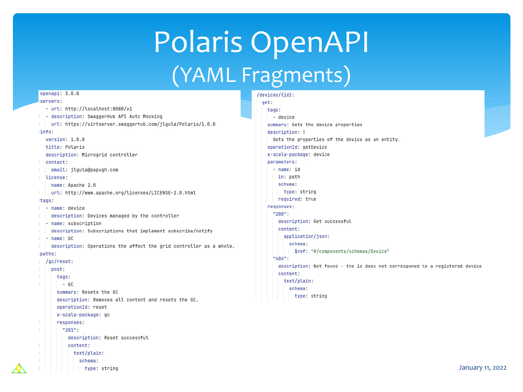## Polaris OpenAPI (YAML Fragments)

#### openapi: 3.0.0 servers:

- url: http://localhost:8080/v1
- description: SwaggerHub API Auto Mocking
- url: https://virtserver.swaqqerhub.com/jlqula/Polaris/1.0.0

#### linfo<sup>.</sup>

version:  $1.0.0$ title: Polaris description: Microgrid controller

#### contact:

email: jlqula@papugh.com

#### license:

name: Apache 2.0

url: http://www.apache.org/licenses/LICENSE-2.0.html

#### tags:

- name: device
- description: Devices managed by the controller
- Fig. name: subscription
- description: Subscriptions that implement subscribe/notify
- name: GC
- description: Operations the affect the grid controller as a whole.

#### paths:

```
/gc/reset:
post:
  tags:
   - 6Csummary: Resets the GC
  description: Removes all content and resets the GC.
  operationId: reset
  x-scala-package: gc
  responses:
    "201":
      description: Reset successful
      content:
       text/plain:
          schema:
            type: string
```
### /devices/{id}: get: tags: - device summary: Gets the device properties description: | Gets the properties of the device as an entity. operationId: getDevice x-scala-package: device parameters: - name: id in: path schema: type: string required: true responses: "200": description: Get successful content: application/json: schema: \$ref: "#/components/schemas/Device" "404": description: Not found - the id does not corresponed to a registered device content: text/plain: schema: type: string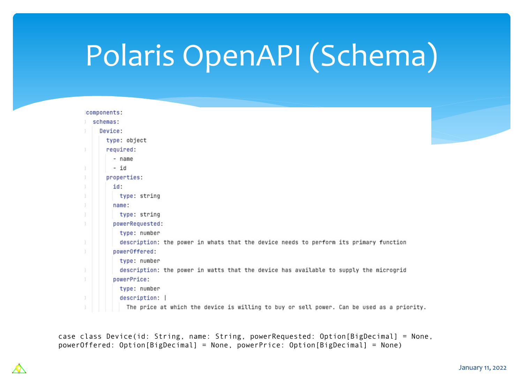# Polaris OpenAPI (Schema)

| components:                                                                               |
|-------------------------------------------------------------------------------------------|
| schemas:                                                                                  |
| Device:                                                                                   |
| type: object                                                                              |
| required:                                                                                 |
| - name                                                                                    |
| $-id$                                                                                     |
| properties:                                                                               |
| id:                                                                                       |
| type: string                                                                              |
| name:                                                                                     |
| type: string                                                                              |
| powerRequested:                                                                           |
| type: number                                                                              |
| description: the power in whats that the device needs to perform its primary function     |
| powerOffered:                                                                             |
| type: number                                                                              |
| description: the power in watts that the device has available to supply the microgrid     |
| powerPrice:                                                                               |
| type: number                                                                              |
| description:                                                                              |
| The price at which the device is willing to buy or sell power. Can be used as a priority. |

case class Device(id: String, name: String, powerRequested: Option[BigDecimal] = None, powerOffered: Option[BigDecimal] = None, powerPrice: Option[BigDecimal] = None)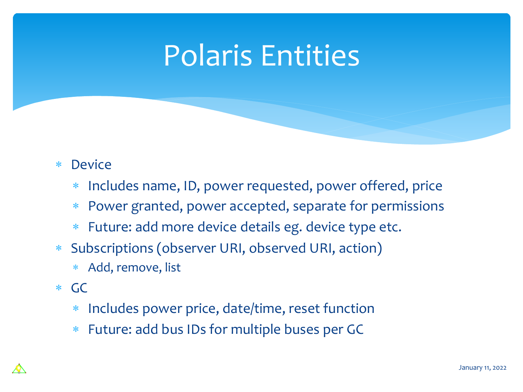## Polaris Entities

### \* Device

- Includes name, ID, power requested, power offered, price
- \* Power granted, power accepted, separate for permissions
- \* Future: add more device details eg. device type etc.
- Subscriptions (observer URI, observed URI, action)
	- \* Add, remove, list
- \* GC
	- \* Includes power price, date/time, reset function
	- \* Future: add bus IDs for multiple buses per GC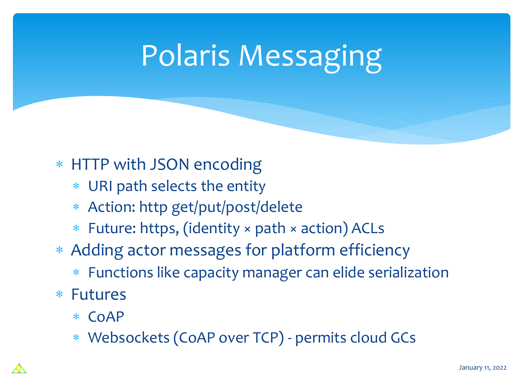# Polaris Messaging

### \* HTTP with JSON encoding

- \* URI path selects the entity
- \* Action: http get/put/post/delete
- \* Future: https, (identity × path × action) ACLs
- \* Adding actor messages for platform efficiency
	- \* Functions like capacity manager can elide serialization
- \* Futures
	- \* CoAP
	- \* Websockets (CoAP over TCP) permits cloud GCs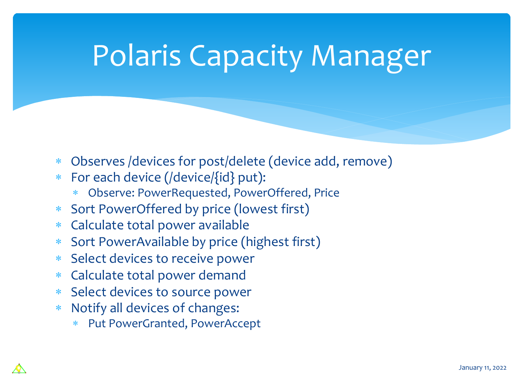## Polaris Capacity Manager

- \* Observes /devices for post/delete (device add, remove)
- \* For each device (/device/{id} put):
	- \* Observe: PowerRequested, PowerOffered, Price
- \* Sort PowerOffered by price (lowest first)
- \* Calculate total power available
- \* Sort PowerAvailable by price (highest first)
- \* Select devices to receive power
- \* Calculate total power demand
- \* Select devices to source power
- \* Notify all devices of changes:
	- Put PowerGranted, PowerAccept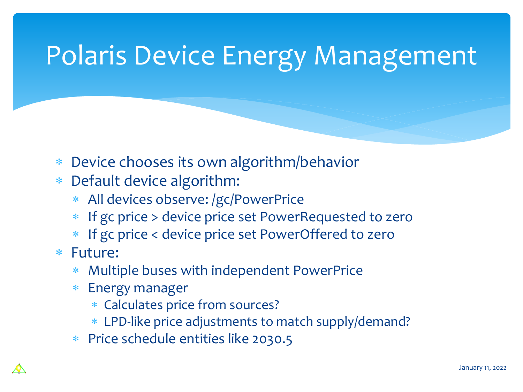## Polaris Device Energy Management

- Device chooses its own algorithm/behavior
- \* Default device algorithm:
	- \* All devices observe: /gc/PowerPrice
	- If gc price > device price set PowerRequested to zero
	- If gc price < device price set PowerOffered to zero
- \* Future:
	- Multiple buses with independent PowerPrice
	- **Energy manager** 
		- \* Calculates price from sources?
		- \* LPD-like price adjustments to match supply/demand?
	- \* Price schedule entities like 2030.5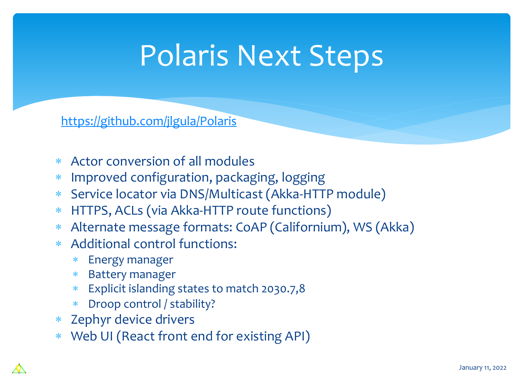# Polaris Next Steps

### https://github.com/jlgula/Polaris

- \* Actor conversion of all modules
- \* Improved configuration, packaging, logging
- \* Service locator via DNS/Multicast (Akka-HTTP module)
- \* HTTPS, ACLs (via Akka-HTTP route functions)
- \* Alternate message formats: CoAP (Californium), WS (Akka)
- \* Additional control functions:
	- \* Energy manager
	- \* Battery manager
	- \* Explicit islanding states to match 2030.7,8
	- \* Droop control / stability?
- \* Zephyr device drivers
- \* Web UI (React front end for existing API)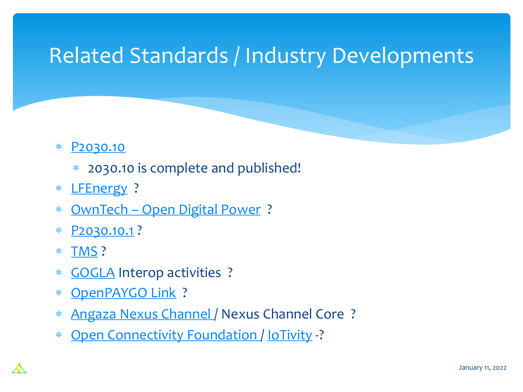## [Related S](https://standards.ieee.org/project/2030_10_1.html)tandards / Industry Developme

### \* [P2030.10](https://openconnectivity.org/)

- \* 2030.10 is complete and published!
- \* LFEnergy ?
- \* OwnTech Open Digital Power ?
- \* P2030.10.1 ?
- \* TMS ?
- \* GOGLA Interop activities ?
- \* OpenPAYGO Link ?
- \* Angaza Nexus Channel / Nexus Channel Core ?
- \* Open Connectivity Foundation / IoTivity -?